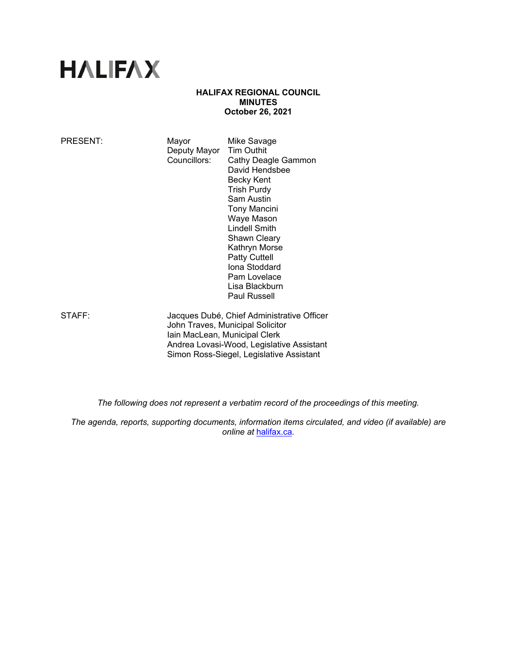# **HALIFAX**

## **HALIFAX REGIONAL COUNCIL MINUTES October 26, 2021**

| PRESENT: | Mayor<br>Deputy Mayor<br>Councillors:                                                                           | Mike Savage<br><b>Tim Outhit</b><br>Cathy Deagle Gammon<br>David Hendsbee<br>Becky Kent<br><b>Trish Purdy</b><br>Sam Austin<br>Tony Mancini<br>Waye Mason<br>Lindell Smith<br><b>Shawn Cleary</b><br>Kathryn Morse<br><b>Patty Cuttell</b><br>Iona Stoddard<br>Pam Lovelace<br>Lisa Blackburn<br>Paul Russell |
|----------|-----------------------------------------------------------------------------------------------------------------|---------------------------------------------------------------------------------------------------------------------------------------------------------------------------------------------------------------------------------------------------------------------------------------------------------------|
| STAFF:   | Jacques Dubé, Chief Administrative Officer<br>John Traves, Municipal Solicitor<br>Iain MacLean, Municipal Clerk |                                                                                                                                                                                                                                                                                                               |

 Andrea Lovasi-Wood, Legislative Assistant Simon Ross-Siegel, Legislative Assistant

*The following does not represent a verbatim record of the proceedings of this meeting.* 

*The agenda, reports, supporting documents, information items circulated, and video (if available) are online at* halifax.ca*.*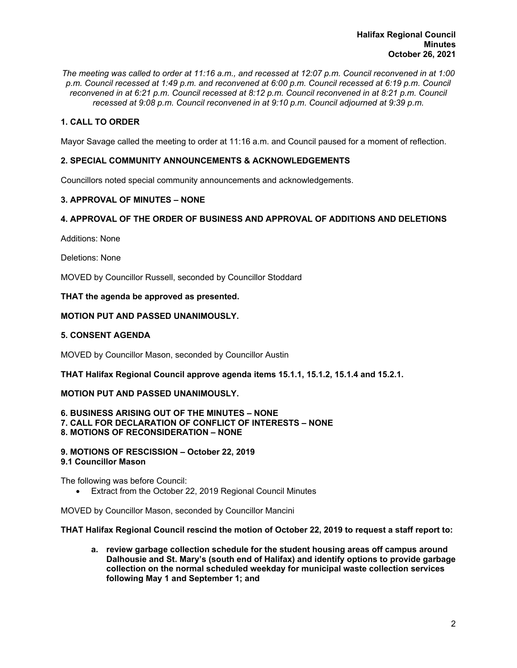*The meeting was called to order at 11:16 a.m., and recessed at 12:07 p.m. Council reconvened in at 1:00 p.m. Council recessed at 1:49 p.m. and reconvened at 6:00 p.m. Council recessed at 6:19 p.m. Council reconvened in at 6:21 p.m. Council recessed at 8:12 p.m. Council reconvened in at 8:21 p.m. Council recessed at 9:08 p.m. Council reconvened in at 9:10 p.m. Council adjourned at 9:39 p.m.* 

# **1. CALL TO ORDER**

Mayor Savage called the meeting to order at 11:16 a.m. and Council paused for a moment of reflection.

# **2. SPECIAL COMMUNITY ANNOUNCEMENTS & ACKNOWLEDGEMENTS**

Councillors noted special community announcements and acknowledgements.

## **3. APPROVAL OF MINUTES – NONE**

# **4. APPROVAL OF THE ORDER OF BUSINESS AND APPROVAL OF ADDITIONS AND DELETIONS**

Additions: None

Deletions: None

MOVED by Councillor Russell, seconded by Councillor Stoddard

## **THAT the agenda be approved as presented.**

## **MOTION PUT AND PASSED UNANIMOUSLY.**

## **5. CONSENT AGENDA**

MOVED by Councillor Mason, seconded by Councillor Austin

**THAT Halifax Regional Council approve agenda items 15.1.1, 15.1.2, 15.1.4 and 15.2.1.** 

#### **MOTION PUT AND PASSED UNANIMOUSLY.**

**6. BUSINESS ARISING OUT OF THE MINUTES – NONE 7. CALL FOR DECLARATION OF CONFLICT OF INTERESTS – NONE 8. MOTIONS OF RECONSIDERATION – NONE** 

**9. MOTIONS OF RESCISSION – October 22, 2019 9.1 Councillor Mason** 

The following was before Council:

Extract from the October 22, 2019 Regional Council Minutes

MOVED by Councillor Mason, seconded by Councillor Mancini

#### **THAT Halifax Regional Council rescind the motion of October 22, 2019 to request a staff report to:**

**a. review garbage collection schedule for the student housing areas off campus around Dalhousie and St. Mary's (south end of Halifax) and identify options to provide garbage collection on the normal scheduled weekday for municipal waste collection services following May 1 and September 1; and**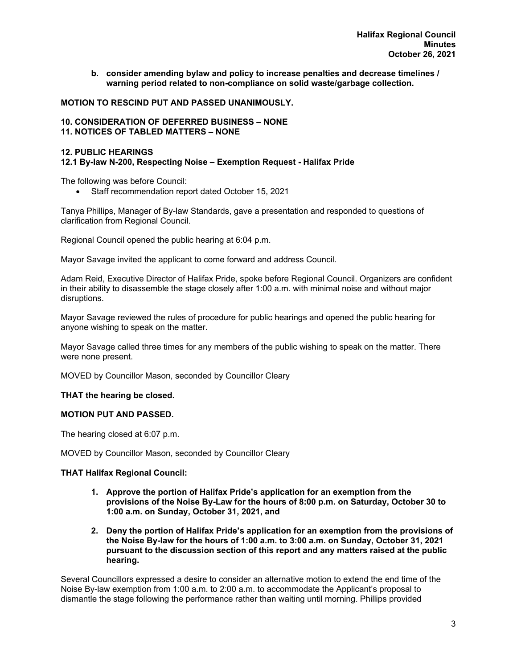**b. consider amending bylaw and policy to increase penalties and decrease timelines / warning period related to non-compliance on solid waste/garbage collection.** 

## **MOTION TO RESCIND PUT AND PASSED UNANIMOUSLY.**

#### **10. CONSIDERATION OF DEFERRED BUSINESS – NONE 11. NOTICES OF TABLED MATTERS – NONE**

#### **12. PUBLIC HEARINGS**

## **12.1 By-law N-200, Respecting Noise – Exemption Request - Halifax Pride**

The following was before Council:

Staff recommendation report dated October 15, 2021

Tanya Phillips, Manager of By-law Standards, gave a presentation and responded to questions of clarification from Regional Council.

Regional Council opened the public hearing at 6:04 p.m.

Mayor Savage invited the applicant to come forward and address Council.

Adam Reid, Executive Director of Halifax Pride, spoke before Regional Council. Organizers are confident in their ability to disassemble the stage closely after 1:00 a.m. with minimal noise and without major disruptions.

Mayor Savage reviewed the rules of procedure for public hearings and opened the public hearing for anyone wishing to speak on the matter.

Mayor Savage called three times for any members of the public wishing to speak on the matter. There were none present.

MOVED by Councillor Mason, seconded by Councillor Cleary

#### **THAT the hearing be closed.**

## **MOTION PUT AND PASSED.**

The hearing closed at 6:07 p.m.

MOVED by Councillor Mason, seconded by Councillor Cleary

## **THAT Halifax Regional Council:**

- **1. Approve the portion of Halifax Pride's application for an exemption from the provisions of the Noise By-Law for the hours of 8:00 p.m. on Saturday, October 30 to 1:00 a.m. on Sunday, October 31, 2021, and**
- **2. Deny the portion of Halifax Pride's application for an exemption from the provisions of the Noise By-law for the hours of 1:00 a.m. to 3:00 a.m. on Sunday, October 31, 2021 pursuant to the discussion section of this report and any matters raised at the public hearing.**

Several Councillors expressed a desire to consider an alternative motion to extend the end time of the Noise By-law exemption from 1:00 a.m. to 2:00 a.m. to accommodate the Applicant's proposal to dismantle the stage following the performance rather than waiting until morning. Phillips provided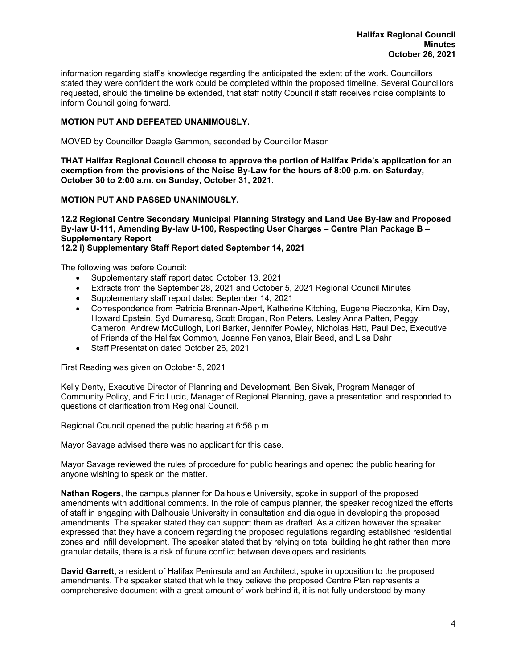information regarding staff's knowledge regarding the anticipated the extent of the work. Councillors stated they were confident the work could be completed within the proposed timeline. Several Councillors requested, should the timeline be extended, that staff notify Council if staff receives noise complaints to inform Council going forward.

# **MOTION PUT AND DEFEATED UNANIMOUSLY.**

MOVED by Councillor Deagle Gammon, seconded by Councillor Mason

**THAT Halifax Regional Council choose to approve the portion of Halifax Pride's application for an exemption from the provisions of the Noise By-Law for the hours of 8:00 p.m. on Saturday, October 30 to 2:00 a.m. on Sunday, October 31, 2021.** 

#### **MOTION PUT AND PASSED UNANIMOUSLY.**

**12.2 Regional Centre Secondary Municipal Planning Strategy and Land Use By-law and Proposed By-law U-111, Amending By-law U-100, Respecting User Charges – Centre Plan Package B – Supplementary Report** 

**12.2 i) Supplementary Staff Report dated September 14, 2021** 

The following was before Council:

- Supplementary staff report dated October 13, 2021
- Extracts from the September 28, 2021 and October 5, 2021 Regional Council Minutes
- Supplementary staff report dated September 14, 2021
- Correspondence from Patricia Brennan-Alpert, Katherine Kitching, Eugene Pieczonka, Kim Day, Howard Epstein, Syd Dumaresq, Scott Brogan, Ron Peters, Lesley Anna Patten, Peggy Cameron, Andrew McCullogh, Lori Barker, Jennifer Powley, Nicholas Hatt, Paul Dec, Executive of Friends of the Halifax Common, Joanne Feniyanos, Blair Beed, and Lisa Dahr
- Staff Presentation dated October 26, 2021

First Reading was given on October 5, 2021

Kelly Denty, Executive Director of Planning and Development, Ben Sivak, Program Manager of Community Policy, and Eric Lucic, Manager of Regional Planning, gave a presentation and responded to questions of clarification from Regional Council.

Regional Council opened the public hearing at 6:56 p.m.

Mayor Savage advised there was no applicant for this case.

Mayor Savage reviewed the rules of procedure for public hearings and opened the public hearing for anyone wishing to speak on the matter.

**Nathan Rogers**, the campus planner for Dalhousie University, spoke in support of the proposed amendments with additional comments. In the role of campus planner, the speaker recognized the efforts of staff in engaging with Dalhousie University in consultation and dialogue in developing the proposed amendments. The speaker stated they can support them as drafted. As a citizen however the speaker expressed that they have a concern regarding the proposed regulations regarding established residential zones and infill development. The speaker stated that by relying on total building height rather than more granular details, there is a risk of future conflict between developers and residents.

**David Garrett**, a resident of Halifax Peninsula and an Architect, spoke in opposition to the proposed amendments. The speaker stated that while they believe the proposed Centre Plan represents a comprehensive document with a great amount of work behind it, it is not fully understood by many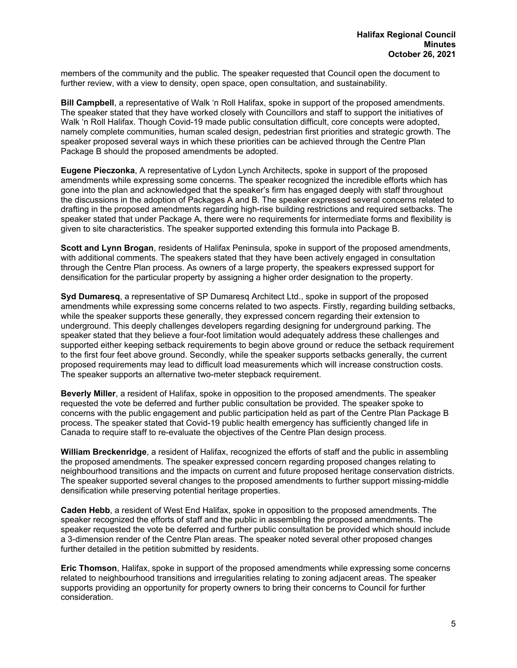members of the community and the public. The speaker requested that Council open the document to further review, with a view to density, open space, open consultation, and sustainability.

**Bill Campbell**, a representative of Walk 'n Roll Halifax, spoke in support of the proposed amendments. The speaker stated that they have worked closely with Councillors and staff to support the initiatives of Walk 'n Roll Halifax. Though Covid-19 made public consultation difficult, core concepts were adopted, namely complete communities, human scaled design, pedestrian first priorities and strategic growth. The speaker proposed several ways in which these priorities can be achieved through the Centre Plan Package B should the proposed amendments be adopted.

**Eugene Pieczonka**, A representative of Lydon Lynch Architects, spoke in support of the proposed amendments while expressing some concerns. The speaker recognized the incredible efforts which has gone into the plan and acknowledged that the speaker's firm has engaged deeply with staff throughout the discussions in the adoption of Packages A and B. The speaker expressed several concerns related to drafting in the proposed amendments regarding high-rise building restrictions and required setbacks. The speaker stated that under Package A, there were no requirements for intermediate forms and flexibility is given to site characteristics. The speaker supported extending this formula into Package B.

**Scott and Lynn Brogan**, residents of Halifax Peninsula, spoke in support of the proposed amendments, with additional comments. The speakers stated that they have been actively engaged in consultation through the Centre Plan process. As owners of a large property, the speakers expressed support for densification for the particular property by assigning a higher order designation to the property.

**Syd Dumaresq**, a representative of SP Dumaresq Architect Ltd., spoke in support of the proposed amendments while expressing some concerns related to two aspects. Firstly, regarding building setbacks, while the speaker supports these generally, they expressed concern regarding their extension to underground. This deeply challenges developers regarding designing for underground parking. The speaker stated that they believe a four-foot limitation would adequately address these challenges and supported either keeping setback requirements to begin above ground or reduce the setback requirement to the first four feet above ground. Secondly, while the speaker supports setbacks generally, the current proposed requirements may lead to difficult load measurements which will increase construction costs. The speaker supports an alternative two-meter stepback requirement.

**Beverly Miller**, a resident of Halifax, spoke in opposition to the proposed amendments. The speaker requested the vote be deferred and further public consultation be provided. The speaker spoke to concerns with the public engagement and public participation held as part of the Centre Plan Package B process. The speaker stated that Covid-19 public health emergency has sufficiently changed life in Canada to require staff to re-evaluate the objectives of the Centre Plan design process.

**William Breckenridge**, a resident of Halifax, recognized the efforts of staff and the public in assembling the proposed amendments. The speaker expressed concern regarding proposed changes relating to neighbourhood transitions and the impacts on current and future proposed heritage conservation districts. The speaker supported several changes to the proposed amendments to further support missing-middle densification while preserving potential heritage properties.

**Caden Hebb**, a resident of West End Halifax, spoke in opposition to the proposed amendments. The speaker recognized the efforts of staff and the public in assembling the proposed amendments. The speaker requested the vote be deferred and further public consultation be provided which should include a 3-dimension render of the Centre Plan areas. The speaker noted several other proposed changes further detailed in the petition submitted by residents.

**Eric Thomson**, Halifax, spoke in support of the proposed amendments while expressing some concerns related to neighbourhood transitions and irregularities relating to zoning adjacent areas. The speaker supports providing an opportunity for property owners to bring their concerns to Council for further consideration.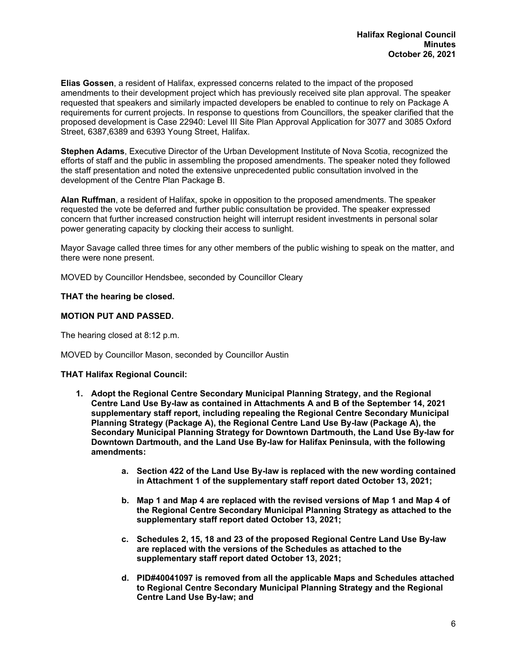**Elias Gossen**, a resident of Halifax, expressed concerns related to the impact of the proposed amendments to their development project which has previously received site plan approval. The speaker requested that speakers and similarly impacted developers be enabled to continue to rely on Package A requirements for current projects. In response to questions from Councillors, the speaker clarified that the proposed development is Case 22940: Level III Site Plan Approval Application for 3077 and 3085 Oxford Street, 6387,6389 and 6393 Young Street, Halifax.

**Stephen Adams**, Executive Director of the Urban Development Institute of Nova Scotia, recognized the efforts of staff and the public in assembling the proposed amendments. The speaker noted they followed the staff presentation and noted the extensive unprecedented public consultation involved in the development of the Centre Plan Package B.

**Alan Ruffman**, a resident of Halifax, spoke in opposition to the proposed amendments. The speaker requested the vote be deferred and further public consultation be provided. The speaker expressed concern that further increased construction height will interrupt resident investments in personal solar power generating capacity by clocking their access to sunlight.

Mayor Savage called three times for any other members of the public wishing to speak on the matter, and there were none present.

MOVED by Councillor Hendsbee, seconded by Councillor Cleary

## **THAT the hearing be closed.**

## **MOTION PUT AND PASSED.**

The hearing closed at 8:12 p.m.

#### MOVED by Councillor Mason, seconded by Councillor Austin

#### **THAT Halifax Regional Council:**

- **1. Adopt the Regional Centre Secondary Municipal Planning Strategy, and the Regional Centre Land Use By-law as contained in Attachments A and B of the September 14, 2021 supplementary staff report, including repealing the Regional Centre Secondary Municipal Planning Strategy (Package A), the Regional Centre Land Use By-law (Package A), the Secondary Municipal Planning Strategy for Downtown Dartmouth, the Land Use By-law for Downtown Dartmouth, and the Land Use By-law for Halifax Peninsula, with the following amendments:** 
	- **a. Section 422 of the Land Use By-law is replaced with the new wording contained in Attachment 1 of the supplementary staff report dated October 13, 2021;**
	- **b. Map 1 and Map 4 are replaced with the revised versions of Map 1 and Map 4 of the Regional Centre Secondary Municipal Planning Strategy as attached to the supplementary staff report dated October 13, 2021;**
	- **c. Schedules 2, 15, 18 and 23 of the proposed Regional Centre Land Use By-law are replaced with the versions of the Schedules as attached to the supplementary staff report dated October 13, 2021;**
	- **d. PID#40041097 is removed from all the applicable Maps and Schedules attached to Regional Centre Secondary Municipal Planning Strategy and the Regional Centre Land Use By-law; and**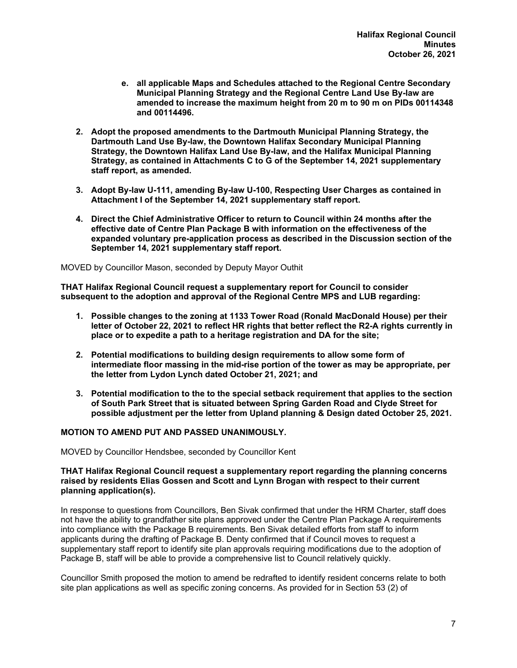- **e. all applicable Maps and Schedules attached to the Regional Centre Secondary Municipal Planning Strategy and the Regional Centre Land Use By-law are amended to increase the maximum height from 20 m to 90 m on PIDs 00114348 and 00114496.**
- **2. Adopt the proposed amendments to the Dartmouth Municipal Planning Strategy, the Dartmouth Land Use By-law, the Downtown Halifax Secondary Municipal Planning Strategy, the Downtown Halifax Land Use By-law, and the Halifax Municipal Planning Strategy, as contained in Attachments C to G of the September 14, 2021 supplementary staff report, as amended.**
- **3. Adopt By-law U-111, amending By-law U-100, Respecting User Charges as contained in Attachment I of the September 14, 2021 supplementary staff report.**
- **4. Direct the Chief Administrative Officer to return to Council within 24 months after the effective date of Centre Plan Package B with information on the effectiveness of the expanded voluntary pre-application process as described in the Discussion section of the September 14, 2021 supplementary staff report.**

MOVED by Councillor Mason, seconded by Deputy Mayor Outhit

**THAT Halifax Regional Council request a supplementary report for Council to consider subsequent to the adoption and approval of the Regional Centre MPS and LUB regarding:** 

- **1. Possible changes to the zoning at 1133 Tower Road (Ronald MacDonald House) per their letter of October 22, 2021 to reflect HR rights that better reflect the R2-A rights currently in place or to expedite a path to a heritage registration and DA for the site;**
- **2. Potential modifications to building design requirements to allow some form of intermediate floor massing in the mid-rise portion of the tower as may be appropriate, per the letter from Lydon Lynch dated October 21, 2021; and**
- **3. Potential modification to the to the special setback requirement that applies to the section of South Park Street that is situated between Spring Garden Road and Clyde Street for possible adjustment per the letter from Upland planning & Design dated October 25, 2021.**

## **MOTION TO AMEND PUT AND PASSED UNANIMOUSLY.**

MOVED by Councillor Hendsbee, seconded by Councillor Kent

#### **THAT Halifax Regional Council request a supplementary report regarding the planning concerns raised by residents Elias Gossen and Scott and Lynn Brogan with respect to their current planning application(s).**

In response to questions from Councillors, Ben Sivak confirmed that under the HRM Charter, staff does not have the ability to grandfather site plans approved under the Centre Plan Package A requirements into compliance with the Package B requirements. Ben Sivak detailed efforts from staff to inform applicants during the drafting of Package B. Denty confirmed that if Council moves to request a supplementary staff report to identify site plan approvals requiring modifications due to the adoption of Package B, staff will be able to provide a comprehensive list to Council relatively quickly.

Councillor Smith proposed the motion to amend be redrafted to identify resident concerns relate to both site plan applications as well as specific zoning concerns. As provided for in Section 53 (2) of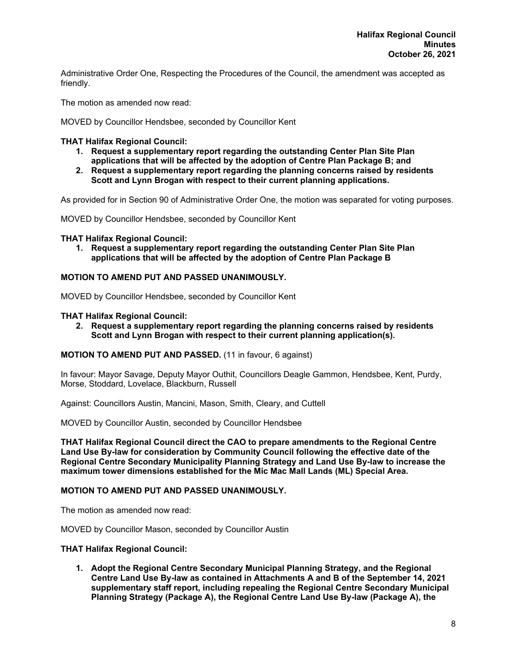Administrative Order One, Respecting the Procedures of the Council, the amendment was accepted as friendly.

The motion as amended now read:

MOVED by Councillor Hendsbee, seconded by Councillor Kent

## **THAT Halifax Regional Council:**

- **1. Request a supplementary report regarding the outstanding Center Plan Site Plan applications that will be affected by the adoption of Centre Plan Package B; and**
- **2. Request a supplementary report regarding the planning concerns raised by residents Scott and Lynn Brogan with respect to their current planning applications.**

As provided for in Section 90 of Administrative Order One, the motion was separated for voting purposes.

MOVED by Councillor Hendsbee, seconded by Councillor Kent

#### **THAT Halifax Regional Council:**

**1. Request a supplementary report regarding the outstanding Center Plan Site Plan applications that will be affected by the adoption of Centre Plan Package B** 

#### **MOTION TO AMEND PUT AND PASSED UNANIMOUSLY.**

MOVED by Councillor Hendsbee, seconded by Councillor Kent

#### **THAT Halifax Regional Council:**

**2. Request a supplementary report regarding the planning concerns raised by residents Scott and Lynn Brogan with respect to their current planning application(s).** 

#### **MOTION TO AMEND PUT AND PASSED.** (11 in favour, 6 against)

In favour: Mayor Savage, Deputy Mayor Outhit, Councillors Deagle Gammon, Hendsbee, Kent, Purdy, Morse, Stoddard, Lovelace, Blackburn, Russell

Against: Councillors Austin, Mancini, Mason, Smith, Cleary, and Cuttell

MOVED by Councillor Austin, seconded by Councillor Hendsbee

**THAT Halifax Regional Council direct the CAO to prepare amendments to the Regional Centre Land Use By-law for consideration by Community Council following the effective date of the Regional Centre Secondary Municipality Planning Strategy and Land Use By-law to increase the maximum tower dimensions established for the Mic Mac Mall Lands (ML) Special Area.** 

#### **MOTION TO AMEND PUT AND PASSED UNANIMOUSLY.**

The motion as amended now read:

MOVED by Councillor Mason, seconded by Councillor Austin

#### **THAT Halifax Regional Council:**

**1. Adopt the Regional Centre Secondary Municipal Planning Strategy, and the Regional Centre Land Use By-law as contained in Attachments A and B of the September 14, 2021 supplementary staff report, including repealing the Regional Centre Secondary Municipal Planning Strategy (Package A), the Regional Centre Land Use By-law (Package A), the**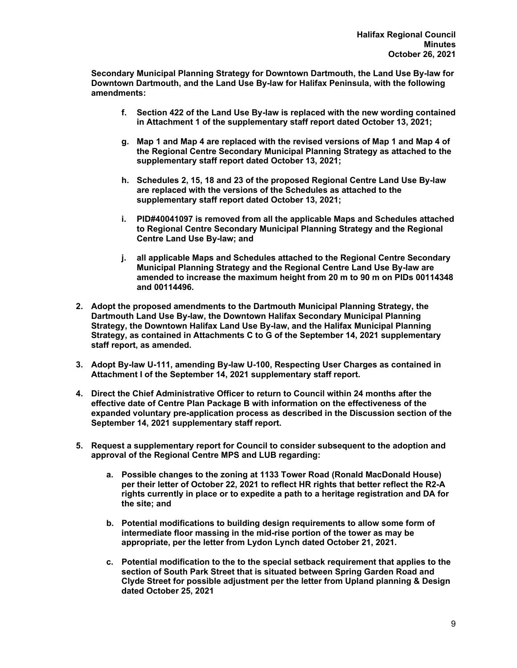**Secondary Municipal Planning Strategy for Downtown Dartmouth, the Land Use By-law for Downtown Dartmouth, and the Land Use By-law for Halifax Peninsula, with the following amendments:** 

- **f. Section 422 of the Land Use By-law is replaced with the new wording contained in Attachment 1 of the supplementary staff report dated October 13, 2021;**
- **g. Map 1 and Map 4 are replaced with the revised versions of Map 1 and Map 4 of the Regional Centre Secondary Municipal Planning Strategy as attached to the supplementary staff report dated October 13, 2021;**
- **h. Schedules 2, 15, 18 and 23 of the proposed Regional Centre Land Use By-law are replaced with the versions of the Schedules as attached to the supplementary staff report dated October 13, 2021;**
- **i. PID#40041097 is removed from all the applicable Maps and Schedules attached to Regional Centre Secondary Municipal Planning Strategy and the Regional Centre Land Use By-law; and**
- **j. all applicable Maps and Schedules attached to the Regional Centre Secondary Municipal Planning Strategy and the Regional Centre Land Use By-law are amended to increase the maximum height from 20 m to 90 m on PIDs 00114348 and 00114496.**
- **2. Adopt the proposed amendments to the Dartmouth Municipal Planning Strategy, the Dartmouth Land Use By-law, the Downtown Halifax Secondary Municipal Planning Strategy, the Downtown Halifax Land Use By-law, and the Halifax Municipal Planning Strategy, as contained in Attachments C to G of the September 14, 2021 supplementary staff report, as amended.**
- **3. Adopt By-law U-111, amending By-law U-100, Respecting User Charges as contained in Attachment I of the September 14, 2021 supplementary staff report.**
- **4. Direct the Chief Administrative Officer to return to Council within 24 months after the effective date of Centre Plan Package B with information on the effectiveness of the expanded voluntary pre-application process as described in the Discussion section of the September 14, 2021 supplementary staff report.**
- **5. Request a supplementary report for Council to consider subsequent to the adoption and approval of the Regional Centre MPS and LUB regarding:** 
	- **a. Possible changes to the zoning at 1133 Tower Road (Ronald MacDonald House) per their letter of October 22, 2021 to reflect HR rights that better reflect the R2-A rights currently in place or to expedite a path to a heritage registration and DA for the site; and**
	- **b. Potential modifications to building design requirements to allow some form of intermediate floor massing in the mid-rise portion of the tower as may be appropriate, per the letter from Lydon Lynch dated October 21, 2021.**
	- **c. Potential modification to the to the special setback requirement that applies to the section of South Park Street that is situated between Spring Garden Road and Clyde Street for possible adjustment per the letter from Upland planning & Design dated October 25, 2021**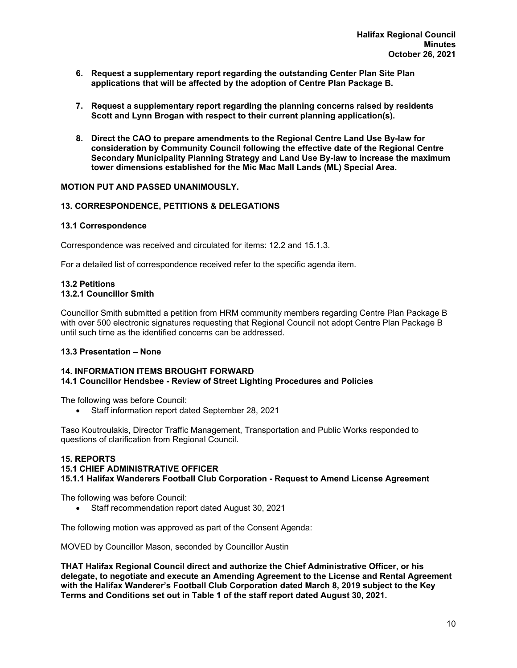- **6. Request a supplementary report regarding the outstanding Center Plan Site Plan applications that will be affected by the adoption of Centre Plan Package B.**
- **7. Request a supplementary report regarding the planning concerns raised by residents Scott and Lynn Brogan with respect to their current planning application(s).**
- **8. Direct the CAO to prepare amendments to the Regional Centre Land Use By-law for consideration by Community Council following the effective date of the Regional Centre Secondary Municipality Planning Strategy and Land Use By-law to increase the maximum tower dimensions established for the Mic Mac Mall Lands (ML) Special Area.**

## **MOTION PUT AND PASSED UNANIMOUSLY.**

## **13. CORRESPONDENCE, PETITIONS & DELEGATIONS**

#### **13.1 Correspondence**

Correspondence was received and circulated for items: 12.2 and 15.1.3.

For a detailed list of correspondence received refer to the specific agenda item.

#### **13.2 Petitions 13.2.1 Councillor Smith**

Councillor Smith submitted a petition from HRM community members regarding Centre Plan Package B with over 500 electronic signatures requesting that Regional Council not adopt Centre Plan Package B until such time as the identified concerns can be addressed.

#### **13.3 Presentation – None**

#### **14. INFORMATION ITEMS BROUGHT FORWARD 14.1 Councillor Hendsbee - Review of Street Lighting Procedures and Policies**

The following was before Council:

• Staff information report dated September 28, 2021

Taso Koutroulakis, Director Traffic Management, Transportation and Public Works responded to questions of clarification from Regional Council.

#### **15. REPORTS**

#### **15.1 CHIEF ADMINISTRATIVE OFFICER**

**15.1.1 Halifax Wanderers Football Club Corporation - Request to Amend License Agreement** 

The following was before Council:

• Staff recommendation report dated August 30, 2021

The following motion was approved as part of the Consent Agenda:

MOVED by Councillor Mason, seconded by Councillor Austin

**THAT Halifax Regional Council direct and authorize the Chief Administrative Officer, or his delegate, to negotiate and execute an Amending Agreement to the License and Rental Agreement with the Halifax Wanderer's Football Club Corporation dated March 8, 2019 subject to the Key Terms and Conditions set out in Table 1 of the staff report dated August 30, 2021.**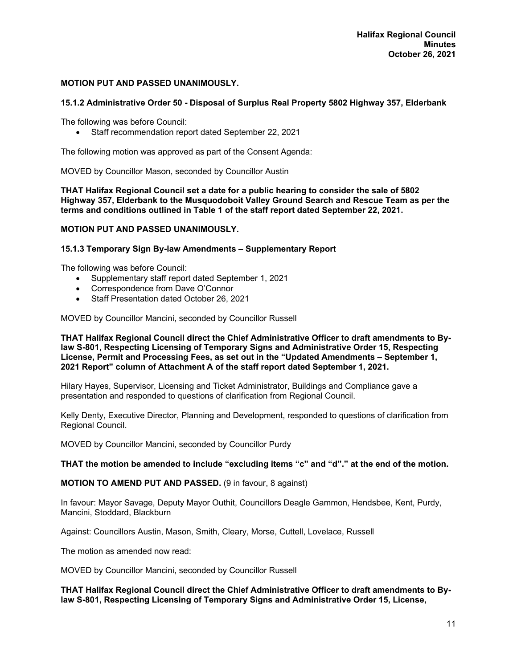## **MOTION PUT AND PASSED UNANIMOUSLY.**

## **15.1.2 Administrative Order 50 - Disposal of Surplus Real Property 5802 Highway 357, Elderbank**

The following was before Council:

Staff recommendation report dated September 22, 2021

The following motion was approved as part of the Consent Agenda:

MOVED by Councillor Mason, seconded by Councillor Austin

**THAT Halifax Regional Council set a date for a public hearing to consider the sale of 5802 Highway 357, Elderbank to the Musquodoboit Valley Ground Search and Rescue Team as per the terms and conditions outlined in Table 1 of the staff report dated September 22, 2021.** 

#### **MOTION PUT AND PASSED UNANIMOUSLY.**

#### **15.1.3 Temporary Sign By-law Amendments – Supplementary Report**

The following was before Council:

- Supplementary staff report dated September 1, 2021
- Correspondence from Dave O'Connor
- Staff Presentation dated October 26, 2021

MOVED by Councillor Mancini, seconded by Councillor Russell

**THAT Halifax Regional Council direct the Chief Administrative Officer to draft amendments to Bylaw S-801, Respecting Licensing of Temporary Signs and Administrative Order 15, Respecting License, Permit and Processing Fees, as set out in the "Updated Amendments – September 1, 2021 Report" column of Attachment A of the staff report dated September 1, 2021.** 

Hilary Hayes, Supervisor, Licensing and Ticket Administrator, Buildings and Compliance gave a presentation and responded to questions of clarification from Regional Council.

Kelly Denty, Executive Director, Planning and Development, responded to questions of clarification from Regional Council.

MOVED by Councillor Mancini, seconded by Councillor Purdy

**THAT the motion be amended to include "excluding items "c" and "d"." at the end of the motion.** 

**MOTION TO AMEND PUT AND PASSED.** (9 in favour, 8 against)

In favour: Mayor Savage, Deputy Mayor Outhit, Councillors Deagle Gammon, Hendsbee, Kent, Purdy, Mancini, Stoddard, Blackburn

Against: Councillors Austin, Mason, Smith, Cleary, Morse, Cuttell, Lovelace, Russell

The motion as amended now read:

MOVED by Councillor Mancini, seconded by Councillor Russell

**THAT Halifax Regional Council direct the Chief Administrative Officer to draft amendments to Bylaw S-801, Respecting Licensing of Temporary Signs and Administrative Order 15, License,**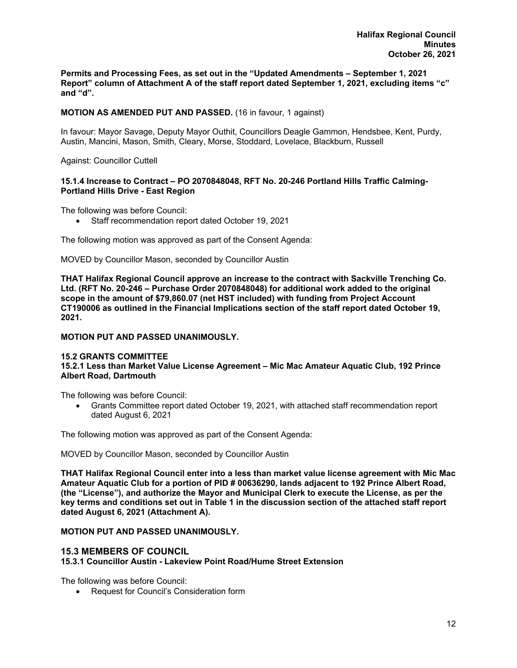**Permits and Processing Fees, as set out in the "Updated Amendments – September 1, 2021 Report" column of Attachment A of the staff report dated September 1, 2021, excluding items "c" and "d".** 

## **MOTION AS AMENDED PUT AND PASSED.** (16 in favour, 1 against)

In favour: Mayor Savage, Deputy Mayor Outhit, Councillors Deagle Gammon, Hendsbee, Kent, Purdy, Austin, Mancini, Mason, Smith, Cleary, Morse, Stoddard, Lovelace, Blackburn, Russell

Against: Councillor Cuttell

#### **15.1.4 Increase to Contract – PO 2070848048, RFT No. 20-246 Portland Hills Traffic Calming-Portland Hills Drive - East Region**

The following was before Council:

Staff recommendation report dated October 19, 2021

The following motion was approved as part of the Consent Agenda:

MOVED by Councillor Mason, seconded by Councillor Austin

**THAT Halifax Regional Council approve an increase to the contract with Sackville Trenching Co. Ltd. (RFT No. 20-246 – Purchase Order 2070848048) for additional work added to the original scope in the amount of \$79,860.07 (net HST included) with funding from Project Account CT190006 as outlined in the Financial Implications section of the staff report dated October 19, 2021.** 

#### **MOTION PUT AND PASSED UNANIMOUSLY.**

#### **15.2 GRANTS COMMITTEE**

#### **15.2.1 Less than Market Value License Agreement – Mic Mac Amateur Aquatic Club, 192 Prince Albert Road, Dartmouth**

The following was before Council:

 Grants Committee report dated October 19, 2021, with attached staff recommendation report dated August 6, 2021

The following motion was approved as part of the Consent Agenda:

MOVED by Councillor Mason, seconded by Councillor Austin

**THAT Halifax Regional Council enter into a less than market value license agreement with Mic Mac Amateur Aquatic Club for a portion of PID # 00636290, lands adjacent to 192 Prince Albert Road, (the "License"), and authorize the Mayor and Municipal Clerk to execute the License, as per the key terms and conditions set out in Table 1 in the discussion section of the attached staff report dated August 6, 2021 (Attachment A).** 

#### **MOTION PUT AND PASSED UNANIMOUSLY.**

#### **15.3 MEMBERS OF COUNCIL**

**15.3.1 Councillor Austin - Lakeview Point Road/Hume Street Extension** 

The following was before Council:

Request for Council's Consideration form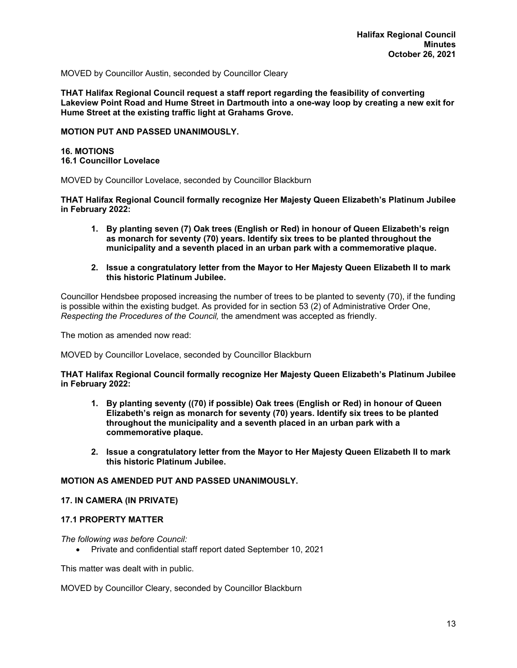MOVED by Councillor Austin, seconded by Councillor Cleary

**THAT Halifax Regional Council request a staff report regarding the feasibility of converting Lakeview Point Road and Hume Street in Dartmouth into a one-way loop by creating a new exit for Hume Street at the existing traffic light at Grahams Grove.** 

#### **MOTION PUT AND PASSED UNANIMOUSLY.**

#### **16. MOTIONS 16.1 Councillor Lovelace**

MOVED by Councillor Lovelace, seconded by Councillor Blackburn

**THAT Halifax Regional Council formally recognize Her Majesty Queen Elizabeth's Platinum Jubilee in February 2022:** 

- **1. By planting seven (7) Oak trees (English or Red) in honour of Queen Elizabeth's reign as monarch for seventy (70) years. Identify six trees to be planted throughout the municipality and a seventh placed in an urban park with a commemorative plaque.**
- **2. Issue a congratulatory letter from the Mayor to Her Majesty Queen Elizabeth II to mark this historic Platinum Jubilee.**

Councillor Hendsbee proposed increasing the number of trees to be planted to seventy (70), if the funding is possible within the existing budget. As provided for in section 53 (2) of Administrative Order One, *Respecting the Procedures of the Council,* the amendment was accepted as friendly.

The motion as amended now read:

MOVED by Councillor Lovelace, seconded by Councillor Blackburn

#### **THAT Halifax Regional Council formally recognize Her Majesty Queen Elizabeth's Platinum Jubilee in February 2022:**

- **1. By planting seventy ((70) if possible) Oak trees (English or Red) in honour of Queen Elizabeth's reign as monarch for seventy (70) years. Identify six trees to be planted throughout the municipality and a seventh placed in an urban park with a commemorative plaque.**
- **2. Issue a congratulatory letter from the Mayor to Her Majesty Queen Elizabeth II to mark this historic Platinum Jubilee.**

# **MOTION AS AMENDED PUT AND PASSED UNANIMOUSLY.**

#### **17. IN CAMERA (IN PRIVATE)**

## **17.1 PROPERTY MATTER**

#### *The following was before Council:*

Private and confidential staff report dated September 10, 2021

This matter was dealt with in public.

MOVED by Councillor Cleary, seconded by Councillor Blackburn